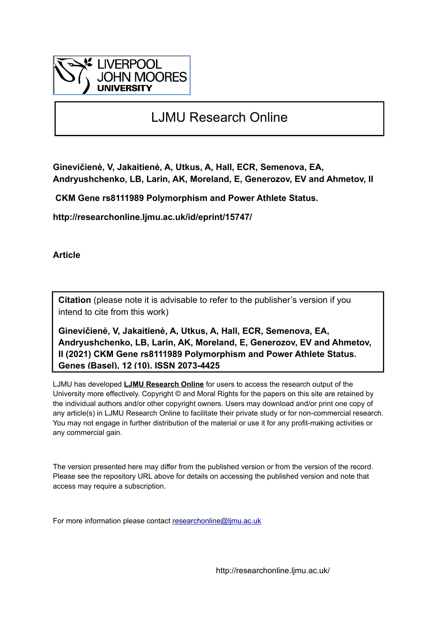

# LJMU Research Online

**Ginevičienė, V, Jakaitienė, A, Utkus, A, Hall, ECR, Semenova, EA, Andryushchenko, LB, Larin, AK, Moreland, E, Generozov, EV and Ahmetov, II**

 **CKM Gene rs8111989 Polymorphism and Power Athlete Status.**

**http://researchonline.ljmu.ac.uk/id/eprint/15747/**

**Article**

**Citation** (please note it is advisable to refer to the publisher's version if you intend to cite from this work)

**Ginevičienė, V, Jakaitienė, A, Utkus, A, Hall, ECR, Semenova, EA, Andryushchenko, LB, Larin, AK, Moreland, E, Generozov, EV and Ahmetov, II (2021) CKM Gene rs8111989 Polymorphism and Power Athlete Status. Genes (Basel), 12 (10). ISSN 2073-4425** 

LJMU has developed **[LJMU Research Online](http://researchonline.ljmu.ac.uk/)** for users to access the research output of the University more effectively. Copyright © and Moral Rights for the papers on this site are retained by the individual authors and/or other copyright owners. Users may download and/or print one copy of any article(s) in LJMU Research Online to facilitate their private study or for non-commercial research. You may not engage in further distribution of the material or use it for any profit-making activities or any commercial gain.

The version presented here may differ from the published version or from the version of the record. Please see the repository URL above for details on accessing the published version and note that access may require a subscription.

For more information please contact [researchonline@ljmu.ac.uk](mailto:researchonline@ljmu.ac.uk)

http://researchonline.ljmu.ac.uk/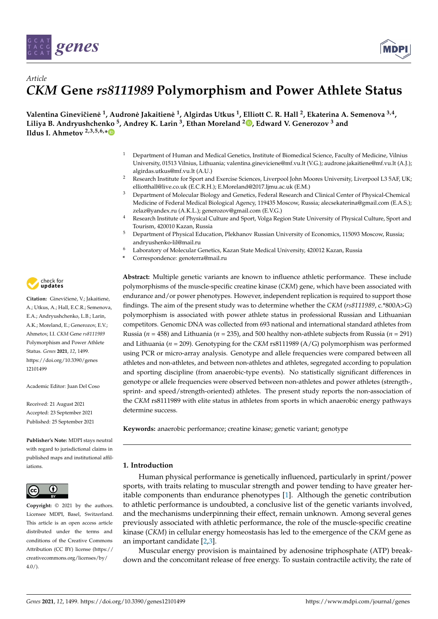



# *Article CKM* **Gene** *rs8111989* **Polymorphism and Power Athlete Status**

**Valentina Gineviˇciene˙ 1 , Audrone Jakaitien ˙ e˙ 1 , Algirdas Utkus <sup>1</sup> , Elliott C. R. Hall <sup>2</sup> , Ekaterina A. Semenova 3,4 , Liliya B. Andryushchenko <sup>5</sup> , Andrey K. Larin <sup>3</sup> , Ethan Moreland <sup>2</sup> [,](https://orcid.org/0000-0001-9189-2267) Edward V. Generozov <sup>3</sup> and Ildus I. Ahmetov 2,3,5,6,[\\*](https://orcid.org/0000-0002-6335-4020)**

- <sup>1</sup> Department of Human and Medical Genetics, Institute of Biomedical Science, Faculty of Medicine, Vilnius University, 01513 Vilnius, Lithuania; valentina.gineviciene@mf.vu.lt (V.G.); audrone.jakaitiene@mf.vu.lt (A.J.); algirdas.utkus@mf.vu.lt (A.U.)
- <sup>2</sup> Research Institute for Sport and Exercise Sciences, Liverpool John Moores University, Liverpool L3 5AF, UK; elliotthall@live.co.uk (E.C.R.H.); E.Moreland@2017.ljmu.ac.uk (E.M.)
- <sup>3</sup> Department of Molecular Biology and Genetics, Federal Research and Clinical Center of Physical-Chemical Medicine of Federal Medical Biological Agency, 119435 Moscow, Russia; alecsekaterina@gmail.com (E.A.S.); zelaz@yandex.ru (A.K.L.); generozov@gmail.com (E.V.G.)
- <sup>4</sup> Research Institute of Physical Culture and Sport, Volga Region State University of Physical Culture, Sport and Tourism, 420010 Kazan, Russia
- <sup>5</sup> Department of Physical Education, Plekhanov Russian University of Economics, 115093 Moscow, Russia; andryushenko-lil@mail.ru
- Laboratory of Molecular Genetics, Kazan State Medical University, 420012 Kazan, Russia
- **\*** Correspondence: genoterra@mail.ru

**Abstract:** Multiple genetic variants are known to influence athletic performance. These include polymorphisms of the muscle-specific creatine kinase (*CKM*) gene, which have been associated with endurance and/or power phenotypes. However, independent replication is required to support those findings. The aim of the present study was to determine whether the *CKM* (*rs8111989*, c.\*800A>G) polymorphism is associated with power athlete status in professional Russian and Lithuanian competitors. Genomic DNA was collected from 693 national and international standard athletes from Russia (*n* = 458) and Lithuania (*n* = 235), and 500 healthy non-athlete subjects from Russia (*n* = 291) and Lithuania (*n* = 209). Genotyping for the *CKM* rs8111989 (A/G) polymorphism was performed using PCR or micro-array analysis. Genotype and allele frequencies were compared between all athletes and non-athletes, and between non-athletes and athletes, segregated according to population and sporting discipline (from anaerobic-type events). No statistically significant differences in genotype or allele frequencies were observed between non-athletes and power athletes (strength-, sprint- and speed/strength-oriented) athletes. The present study reports the non-association of the *CKM* rs8111989 with elite status in athletes from sports in which anaerobic energy pathways determine success.

**Keywords:** anaerobic performance; creatine kinase; genetic variant; genotype

# **1. Introduction**

Human physical performance is genetically influenced, particularly in sprint/power sports, with traits relating to muscular strength and power tending to have greater heritable components than endurance phenotypes [\[1\]](#page-6-0). Although the genetic contribution to athletic performance is undoubted, a conclusive list of the genetic variants involved, and the mechanisms underpinning their effect, remain unknown. Among several genes previously associated with athletic performance, the role of the muscle-specific creatine kinase (*CKM*) in cellular energy homeostasis has led to the emergence of the *CKM* gene as an important candidate [\[2](#page-6-1)[,3\]](#page-6-2).

Muscular energy provision is maintained by adenosine triphosphate (ATP) breakdown and the concomitant release of free energy. To sustain contractile activity, the rate of



Citation: Ginevičienė, V.; Jakaitienė, A.; Utkus, A.; Hall, E.C.R.; Semenova, E.A.; Andryushchenko, L.B.; Larin, A.K.; Moreland, E.; Generozov, E.V.; Ahmetov, I.I. *CKM* Gene *rs8111989* Polymorphism and Power Athlete Status. *Genes* **2021**, *12*, 1499. [https://doi.org/10.3390/genes](https://doi.org/10.3390/genes12101499) [12101499](https://doi.org/10.3390/genes12101499)

Academic Editor: Juan Del Coso

Received: 21 August 2021 Accepted: 23 September 2021 Published: 25 September 2021

**Publisher's Note:** MDPI stays neutral with regard to jurisdictional claims in published maps and institutional affiliations.



**Copyright:** © 2021 by the authors. Licensee MDPI, Basel, Switzerland. This article is an open access article distributed under the terms and conditions of the Creative Commons Attribution (CC BY) license (https:/[/](https://creativecommons.org/licenses/by/4.0/) [creativecommons.org/licenses/by/](https://creativecommons.org/licenses/by/4.0/)  $4.0/$ ).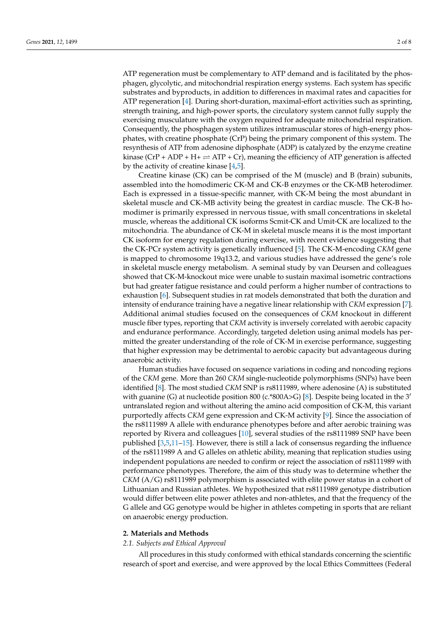ATP regeneration must be complementary to ATP demand and is facilitated by the phosphagen, glycolytic, and mitochondrial respiration energy systems. Each system has specific substrates and byproducts, in addition to differences in maximal rates and capacities for ATP regeneration [\[4\]](#page-6-3). During short-duration, maximal-effort activities such as sprinting, strength training, and high-power sports, the circulatory system cannot fully supply the exercising musculature with the oxygen required for adequate mitochondrial respiration. Consequently, the phosphagen system utilizes intramuscular stores of high-energy phosphates, with creatine phosphate (CrP) being the primary component of this system. The resynthesis of ATP from adenosine diphosphate (ADP) is catalyzed by the enzyme creatine kinase (CrP + ADP + H+  $\rightleftharpoons$  ATP + Cr), meaning the efficiency of ATP generation is affected by the activity of creatine kinase [\[4](#page-6-3)[,5\]](#page-6-4).

Creatine kinase (CK) can be comprised of the M (muscle) and B (brain) subunits, assembled into the homodimeric CK-M and CK-B enzymes or the CK-MB heterodimer. Each is expressed in a tissue-specific manner, with CK-M being the most abundant in skeletal muscle and CK-MB activity being the greatest in cardiac muscle. The CK-B homodimer is primarily expressed in nervous tissue, with small concentrations in skeletal muscle, whereas the additional CK isoforms Scmit-CK and Umit-CK are localized to the mitochondria. The abundance of CK-M in skeletal muscle means it is the most important CK isoform for energy regulation during exercise, with recent evidence suggesting that the CK-PCr system activity is genetically influenced [\[5\]](#page-6-4). The CK-M-encoding *CKM* gene is mapped to chromosome 19q13.2, and various studies have addressed the gene's role in skeletal muscle energy metabolism. A seminal study by van Deursen and colleagues showed that CK-M-knockout mice were unable to sustain maximal isometric contractions but had greater fatigue resistance and could perform a higher number of contractions to exhaustion [\[6\]](#page-6-5). Subsequent studies in rat models demonstrated that both the duration and intensity of endurance training have a negative linear relationship with *CKM* expression [\[7\]](#page-7-0). Additional animal studies focused on the consequences of *CKM* knockout in different muscle fiber types, reporting that *CKM* activity is inversely correlated with aerobic capacity and endurance performance. Accordingly, targeted deletion using animal models has permitted the greater understanding of the role of CK-M in exercise performance, suggesting that higher expression may be detrimental to aerobic capacity but advantageous during anaerobic activity.

Human studies have focused on sequence variations in coding and noncoding regions of the *CKM* gene. More than 260 *CKM* single-nucleotide polymorphisms (SNPs) have been identified [\[8\]](#page-7-1). The most studied *CKM* SNP is rs8111989, where adenosine (A) is substituted with guanine (G) at nucleotide position 800 (c.\*800A>G) [\[8\]](#page-7-1). Despite being located in the 3<sup>'</sup> untranslated region and without altering the amino acid composition of CK-M, this variant purportedly affects *CKM* gene expression and CK-M activity [\[9\]](#page-7-2). Since the association of the rs8111989 A allele with endurance phenotypes before and after aerobic training was reported by Rivera and colleagues [\[10\]](#page-7-3), several studies of the rs8111989 SNP have been published [\[3](#page-6-2)[,5](#page-6-4)[,11–](#page-7-4)[15\]](#page-7-5). However, there is still a lack of consensus regarding the influence of the rs8111989 A and G alleles on athletic ability, meaning that replication studies using independent populations are needed to confirm or reject the association of rs8111989 with performance phenotypes. Therefore, the aim of this study was to determine whether the *CKM* (A/G) rs8111989 polymorphism is associated with elite power status in a cohort of Lithuanian and Russian athletes. We hypothesized that rs8111989 genotype distribution would differ between elite power athletes and non-athletes, and that the frequency of the G allele and GG genotype would be higher in athletes competing in sports that are reliant on anaerobic energy production.

# **2. Materials and Methods**

# *2.1. Subjects and Ethical Approval*

All procedures in this study conformed with ethical standards concerning the scientific research of sport and exercise, and were approved by the local Ethics Committees (Federal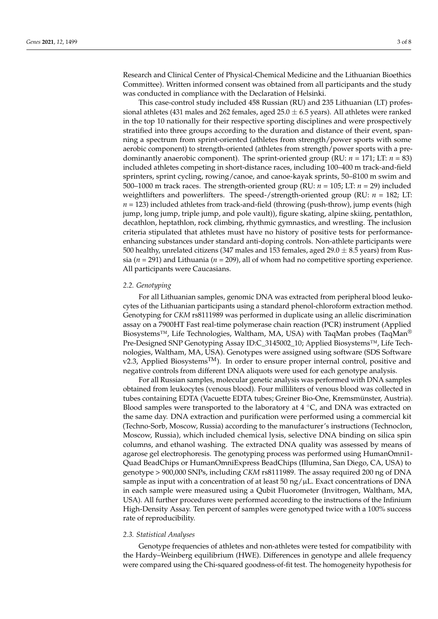Research and Clinical Center of Physical-Chemical Medicine and the Lithuanian Bioethics Committee). Written informed consent was obtained from all participants and the study was conducted in compliance with the Declaration of Helsinki.

This case-control study included 458 Russian (RU) and 235 Lithuanian (LT) professional athletes (431 males and 262 females, aged  $25.0 \pm 6.5$  years). All athletes were ranked in the top 10 nationally for their respective sporting disciplines and were prospectively stratified into three groups according to the duration and distance of their event, spanning a spectrum from sprint-oriented (athletes from strength/power sports with some aerobic component) to strength-oriented (athletes from strength/power sports with a predominantly anaerobic component). The sprint-oriented group (RU: *n* = 171; LT: *n* = 83) included athletes competing in short-distance races, including 100–400 m track-and-field sprinters, sprint cycling, rowing/canoe, and canoe-kayak sprints, 50–ß100 m swim and 500–1000 m track races. The strength-oriented group (RU: *n* = 105; LT: *n* = 29) included weightlifters and powerlifters. The speed-/strength-oriented group (RU: *n* = 182; LT: *n* = 123) included athletes from track-and-field (throwing (push-throw), jump events (high jump, long jump, triple jump, and pole vault)), figure skating, alpine skiing, pentathlon, decathlon, heptathlon, rock climbing, rhythmic gymnastics, and wrestling. The inclusion criteria stipulated that athletes must have no history of positive tests for performanceenhancing substances under standard anti-doping controls. Non-athlete participants were 500 healthy, unrelated citizens (347 males and 153 females, aged  $29.0 \pm 8.5$  years) from Russia ( $n = 291$ ) and Lithuania ( $n = 209$ ), all of whom had no competitive sporting experience. All participants were Caucasians.

#### *2.2. Genotyping*

For all Lithuanian samples, genomic DNA was extracted from peripheral blood leukocytes of the Lithuanian participants using a standard phenol-chloroform extraction method. Genotyping for *CKM* rs8111989 was performed in duplicate using an allelic discrimination assay on a 7900HT Fast real-time polymerase chain reaction (PCR) instrument (Applied Biosystems<sup>™</sup>, Life Technologies, Waltham, MA, USA) with TaqMan probes (TaqMan<sup>®</sup> Pre-Designed SNP Genotyping Assay ID:C\_3145002\_10; Applied Biosystems™, Life Technologies, Waltham, MA, USA). Genotypes were assigned using software (SDS Software v2.3, Applied Biosystems<sup>TM</sup>). In order to ensure proper internal control, positive and negative controls from different DNA aliquots were used for each genotype analysis.

For all Russian samples, molecular genetic analysis was performed with DNA samples obtained from leukocytes (venous blood). Four milliliters of venous blood was collected in tubes containing EDTA (Vacuette EDTA tubes; Greiner Bio-One, Kremsmünster, Austria). Blood samples were transported to the laboratory at  $4 °C$ , and DNA was extracted on the same day. DNA extraction and purification were performed using a commercial kit (Techno-Sorb, Moscow, Russia) according to the manufacturer's instructions (Technoclon, Moscow, Russia), which included chemical lysis, selective DNA binding on silica spin columns, and ethanol washing. The extracted DNA quality was assessed by means of agarose gel electrophoresis. The genotyping process was performed using HumanOmni1- Quad BeadChips or HumanOmniExpress BeadChips (Illumina, San Diego, CA, USA) to genotype > 900,000 SNPs, including *CKM* rs8111989. The assay required 200 ng of DNA sample as input with a concentration of at least 50 ng/ $\mu$ L. Exact concentrations of DNA in each sample were measured using a Qubit Fluorometer (Invitrogen, Waltham, MA, USA). All further procedures were performed according to the instructions of the Infinium High-Density Assay. Ten percent of samples were genotyped twice with a 100% success rate of reproducibility.

#### *2.3. Statistical Analyses*

Genotype frequencies of athletes and non-athletes were tested for compatibility with the Hardy–Weinberg equilibrium (HWE). Differences in genotype and allele frequency were compared using the Chi-squared goodness-of-fit test. The homogeneity hypothesis for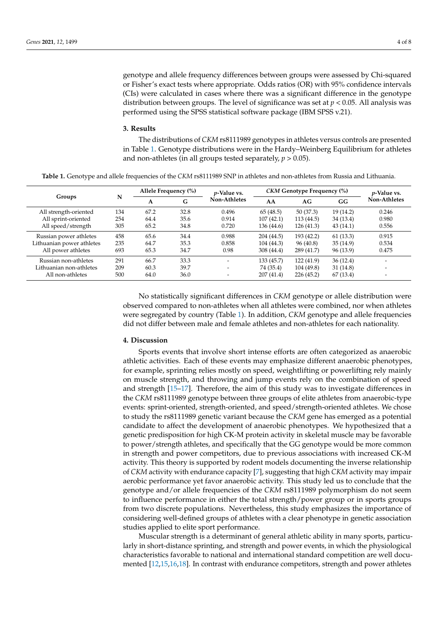genotype and allele frequency differences between groups were assessed by Chi-squared or Fisher's exact tests where appropriate. Odds ratios (OR) with 95% confidence intervals (CIs) were calculated in cases where there was a significant difference in the genotype distribution between groups. The level of significance was set at *p* < 0.05. All analysis was performed using the SPSS statistical software package (IBM SPSS v.21).

#### **3. Results**

The distributions of *CKM* rs8111989 genotypes in athletes versus controls are presented in Table [1.](#page-4-0) Genotype distributions were in the Hardy–Weinberg Equilibrium for athletes and non-athletes (in all groups tested separately,  $p > 0.05$ ).

<span id="page-4-0"></span>**Table 1.** Genotype and allele frequencies of the *CKM* rs8111989 SNP in athletes and non-athletes from Russia and Lithuania.

| Groups                    | N   | Allele Frequency (%) |      | <i>p</i> -Value vs.      | CKM Genotype Frequency (%) |            |           | <i>p</i> -Value vs. |
|---------------------------|-----|----------------------|------|--------------------------|----------------------------|------------|-----------|---------------------|
|                           |     | А                    | G    | Non-Athletes             | AA                         | AG         | GG        | Non-Athletes        |
| All strength-oriented     | 134 | 67.2                 | 32.8 | 0.496                    | 65(48.5)                   | 50(37.3)   | 19 (14.2) | 0.246               |
| All sprint-oriented       | 254 | 64.4                 | 35.6 | 0.914                    | 107(42.1)                  | 113 (44.5) | 34 (13.4) | 0.980               |
| All speed/strength        | 305 | 65.2                 | 34.8 | 0.720                    | 136 (44.6)                 | 126(41.3)  | 43(14.1)  | 0.556               |
| Russian power athletes    | 458 | 65.6                 | 34.4 | 0.988                    | 204 (44.5)                 | 193 (42.2) | 61(13.3)  | 0.915               |
| Lithuanian power athletes | 235 | 64.7                 | 35.3 | 0.858                    | 104(44.3)                  | 96 (40.8)  | 35(14.9)  | 0.534               |
| All power athletes        | 693 | 65.3                 | 34.7 | 0.98                     | 308 (44.4)                 | 289 (41.7) | 96 (13.9) | 0.475               |
| Russian non-athletes      | 291 | 66.7                 | 33.3 | $\overline{\phantom{0}}$ | 133(45.7)                  | 122 (41.9) | 36(12.4)  |                     |
| Lithuanian non-athletes   | 209 | 60.3                 | 39.7 | $\overline{\phantom{0}}$ | 74 (35.4)                  | 104 (49.8) | 31 (14.8) |                     |
| All non-athletes          | 500 | 64.0                 | 36.0 | $\overline{\phantom{a}}$ | 207(41.4)                  | 226(45.2)  | 67(13.4)  |                     |

No statistically significant differences in *CKM* genotype or allele distribution were observed compared to non-athletes when all athletes were combined, nor when athletes were segregated by country (Table [1\)](#page-4-0). In addition, *CKM* genotype and allele frequencies did not differ between male and female athletes and non-athletes for each nationality.

### **4. Discussion**

Sports events that involve short intense efforts are often categorized as anaerobic athletic activities. Each of these events may emphasize different anaerobic phenotypes, for example, sprinting relies mostly on speed, weightlifting or powerlifting rely mainly on muscle strength, and throwing and jump events rely on the combination of speed and strength [\[15](#page-7-5)[–17\]](#page-7-6). Therefore, the aim of this study was to investigate differences in the *CKM* rs8111989 genotype between three groups of elite athletes from anaerobic-type events: sprint-oriented, strength-oriented, and speed/strength-oriented athletes. We chose to study the rs8111989 genetic variant because the *CKM* gene has emerged as a potential candidate to affect the development of anaerobic phenotypes. We hypothesized that a genetic predisposition for high CK-M protein activity in skeletal muscle may be favorable to power/strength athletes, and specifically that the GG genotype would be more common in strength and power competitors, due to previous associations with increased CK-M activity. This theory is supported by rodent models documenting the inverse relationship of *CKM* activity with endurance capacity [\[7\]](#page-7-0), suggesting that high *CKM* activity may impair aerobic performance yet favor anaerobic activity. This study led us to conclude that the genotype and/or allele frequencies of the *CKM* rs8111989 polymorphism do not seem to influence performance in either the total strength/power group or in sports groups from two discrete populations. Nevertheless, this study emphasizes the importance of considering well-defined groups of athletes with a clear phenotype in genetic association studies applied to elite sport performance.

Muscular strength is a determinant of general athletic ability in many sports, particularly in short-distance sprinting, and strength and power events, in which the physiological characteristics favorable to national and international standard competition are well documented [\[12](#page-7-7)[,15](#page-7-5)[,16,](#page-7-8)[18\]](#page-7-9). In contrast with endurance competitors, strength and power athletes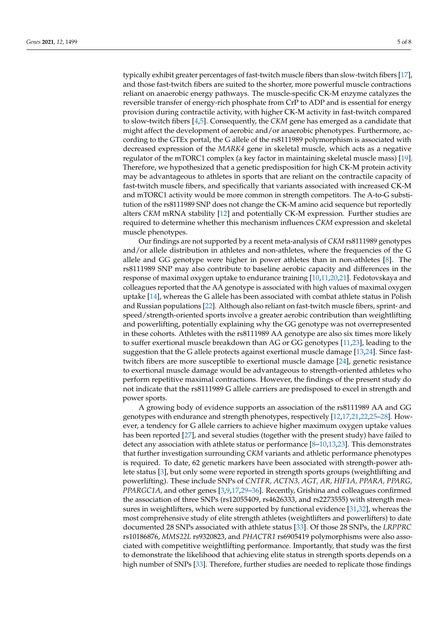typically exhibit greater percentages of fast-twitch muscle fibers than slow-twitch fibers [\[17\]](#page-7-6), and those fast-twitch fibers are suited to the shorter, more powerful muscle contractions reliant on anaerobic energy pathways. The muscle-specific CK-M enzyme catalyzes the reversible transfer of energy-rich phosphate from CrP to ADP and is essential for energy provision during contractile activity, with higher CK-M activity in fast-twitch compared to slow-twitch fibers [\[4](#page-6-3)[,5\]](#page-6-4). Consequently, the *CKM* gene has emerged as a candidate that might affect the development of aerobic and/or anaerobic phenotypes. Furthermore, according to the GTEx portal, the G allele of the rs8111989 polymorphism is associated with decreased expression of the *MARK4* gene in skeletal muscle, which acts as a negative regulator of the mTORC1 complex (a key factor in maintaining skeletal muscle mass) [\[19\]](#page-7-10). Therefore, we hypothesized that a genetic predisposition for high CK-M protein activity may be advantageous to athletes in sports that are reliant on the contractile capacity of fast-twitch muscle fibers, and specifically that variants associated with increased CK-M and mTORC1 activity would be more common in strength competitors. The A-to-G substitution of the rs8111989 SNP does not change the CK-M amino acid sequence but reportedly alters *CKM* mRNA stability [\[12\]](#page-7-7) and potentially CK-M expression. Further studies are required to determine whether this mechanism influences *CKM* expression and skeletal muscle phenotypes.

Our findings are not supported by a recent meta-analysis of *CKM* rs8111989 genotypes and/or allele distribution in athletes and non-athletes, where the frequencies of the G allele and GG genotype were higher in power athletes than in non-athletes [\[8\]](#page-7-1). The rs8111989 SNP may also contribute to baseline aerobic capacity and differences in the response of maximal oxygen uptake to endurance training [\[10,](#page-7-3)[11,](#page-7-4)[20](#page-7-11)[,21\]](#page-7-12). Fedotovskaya and colleagues reported that the AA genotype is associated with high values of maximal oxygen uptake [\[14\]](#page-7-13), whereas the G allele has been associated with combat athlete status in Polish and Russian populations [\[22\]](#page-7-14). Although also reliant on fast-twitch muscle fibers, sprint- and speed/strength-oriented sports involve a greater aerobic contribution than weightlifting and powerlifting, potentially explaining why the GG genotype was not overrepresented in these cohorts. Athletes with the rs8111989 AA genotype are also six times more likely to suffer exertional muscle breakdown than AG or GG genotypes [\[11](#page-7-4)[,23\]](#page-7-15), leading to the suggestion that the G allele protects against exertional muscle damage [\[13](#page-7-16)[,24\]](#page-7-17). Since fasttwitch fibers are more susceptible to exertional muscle damage [\[24\]](#page-7-17), genetic resistance to exertional muscle damage would be advantageous to strength-oriented athletes who perform repetitive maximal contractions. However, the findings of the present study do not indicate that the rs8111989 G allele carriers are predisposed to excel in strength and power sports.

A growing body of evidence supports an association of the rs8111989 AA and GG genotypes with endurance and strength phenotypes, respectively [\[12](#page-7-7)[,17](#page-7-6)[,21,](#page-7-12)[22,](#page-7-14)[25–](#page-7-18)[28\]](#page-7-19). However, a tendency for G allele carriers to achieve higher maximum oxygen uptake values has been reported [\[27\]](#page-7-20), and several studies (together with the present study) have failed to detect any association with athlete status or performance  $[8-10,13,23]$  $[8-10,13,23]$  $[8-10,13,23]$  $[8-10,13,23]$ . This demonstrates that further investigation surrounding *CKM* variants and athletic performance phenotypes is required. To date, 62 genetic markers have been associated with strength-power athlete status [\[3\]](#page-6-2), but only some were reported in strength sports groups (weightlifting and powerlifting). These include SNPs of *CNTFR, ACTN3, AGT, AR, HIF1A, PPARA, PPARG, PPARGC1A*, and other genes [\[3,](#page-6-2)[9](#page-7-2)[,17,](#page-7-6)[29–](#page-7-21)[36\]](#page-8-0). Recently, Grishina and colleagues confirmed the association of three SNPs (rs12055409, rs4626333, and rs2273555) with strength measures in weightlifters, which were supported by functional evidence [\[31,](#page-7-22)[32\]](#page-8-1), whereas the most comprehensive study of elite strength athletes (weightlifters and powerlifters) to date documented 28 SNPs associated with athlete status [\[33\]](#page-8-2). Of those 28 SNPs, the *LRPPRC* rs10186876, *MMS22L* rs9320823, and *PHACTR1* rs6905419 polymorphisms were also associated with competitive weightlifting performance. Importantly, that study was the first to demonstrate the likelihood that achieving elite status in strength sports depends on a high number of SNPs [\[33\]](#page-8-2). Therefore, further studies are needed to replicate those findings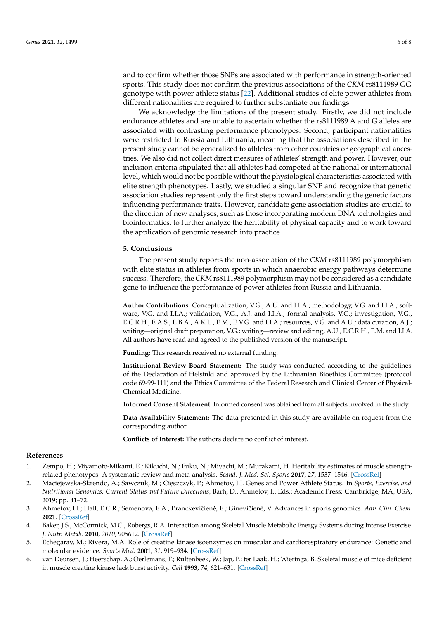and to confirm whether those SNPs are associated with performance in strength-oriented sports. This study does not confirm the previous associations of the *CKM* rs8111989 GG genotype with power athlete status [\[22\]](#page-7-14). Additional studies of elite power athletes from different nationalities are required to further substantiate our findings.

We acknowledge the limitations of the present study. Firstly, we did not include endurance athletes and are unable to ascertain whether the rs8111989 A and G alleles are associated with contrasting performance phenotypes. Second, participant nationalities were restricted to Russia and Lithuania, meaning that the associations described in the present study cannot be generalized to athletes from other countries or geographical ancestries. We also did not collect direct measures of athletes' strength and power. However, our inclusion criteria stipulated that all athletes had competed at the national or international level, which would not be possible without the physiological characteristics associated with elite strength phenotypes. Lastly, we studied a singular SNP and recognize that genetic association studies represent only the first steps toward understanding the genetic factors influencing performance traits. However, candidate gene association studies are crucial to the direction of new analyses, such as those incorporating modern DNA technologies and bioinformatics, to further analyze the heritability of physical capacity and to work toward the application of genomic research into practice.

#### **5. Conclusions**

The present study reports the non-association of the *CKM* rs8111989 polymorphism with elite status in athletes from sports in which anaerobic energy pathways determine success. Therefore, the *CKM* rs8111989 polymorphism may not be considered as a candidate gene to influence the performance of power athletes from Russia and Lithuania.

**Author Contributions:** Conceptualization, V.G., A.U. and I.I.A.; methodology, V.G. and I.I.A.; software, V.G. and I.I.A.; validation, V.G., A.J. and I.I.A.; formal analysis, V.G.; investigation, V.G., E.C.R.H., E.A.S., L.B.A., A.K.L., E.M., E.V.G. and I.I.A.; resources, V.G. and A.U.; data curation, A.J.; writing—original draft preparation, V.G.; writing—review and editing, A.U., E.C.R.H., E.M. and I.I.A. All authors have read and agreed to the published version of the manuscript.

**Funding:** This research received no external funding.

**Institutional Review Board Statement:** The study was conducted according to the guidelines of the Declaration of Helsinki and approved by the Lithuanian Bioethics Committee (protocol code 69-99-111) and the Ethics Committee of the Federal Research and Clinical Center of Physical-Chemical Medicine.

**Informed Consent Statement:** Informed consent was obtained from all subjects involved in the study.

**Data Availability Statement:** The data presented in this study are available on request from the corresponding author.

**Conflicts of Interest:** The authors declare no conflict of interest.

#### **References**

- <span id="page-6-0"></span>1. Zempo, H.; Miyamoto-Mikami, E.; Kikuchi, N.; Fuku, N.; Miyachi, M.; Murakami, H. Heritability estimates of muscle strengthrelated phenotypes: A systematic review and meta-analysis. *Scand. J. Med. Sci. Sports* **2017**, *27*, 1537–1546. [\[CrossRef\]](http://doi.org/10.1111/sms.12804)
- <span id="page-6-1"></span>2. Maciejewska-Skrendo, A.; Sawczuk, M.; Cięszczyk, P.; Ahmetov, I.I. Genes and Power Athlete Status. In *Sports, Exercise, and Nutritional Genomics: Current Status and Future Directions*; Barh, D., Ahmetov, I., Eds.; Academic Press: Cambridge, MA, USA, 2019; pp. 41–72.
- <span id="page-6-2"></span>3. Ahmetov, I.I.; Hall, E.C.R.; Semenova, E.A.; Pranckevičienė, E.; Ginevičienė, V. Advances in sports genomics. Adv. Clin. Chem. **2021**. [\[CrossRef\]](http://doi.org/10.1016/bs.acc.2021.07.004)
- <span id="page-6-3"></span>4. Baker, J.S.; McCormick, M.C.; Robergs, R.A. Interaction among Skeletal Muscle Metabolic Energy Systems during Intense Exercise. *J. Nutr. Metab.* **2010**, *2010*, 905612. [\[CrossRef\]](http://doi.org/10.1155/2010/905612)
- <span id="page-6-4"></span>5. Echegaray, M.; Rivera, M.A. Role of creatine kinase isoenzymes on muscular and cardiorespiratory endurance: Genetic and molecular evidence. *Sports Med.* **2001**, *31*, 919–934. [\[CrossRef\]](http://doi.org/10.2165/00007256-200131130-00003)
- <span id="page-6-5"></span>6. van Deursen, J.; Heerschap, A.; Oerlemans, F.; Rultenbeek, W.; Jap, P.; ter Laak, H.; Wieringa, B. Skeletal muscle of mice deficient in muscle creatine kinase lack burst activity. *Cell* **1993**, *74*, 621–631. [\[CrossRef\]](http://doi.org/10.1016/0092-8674(93)90510-W)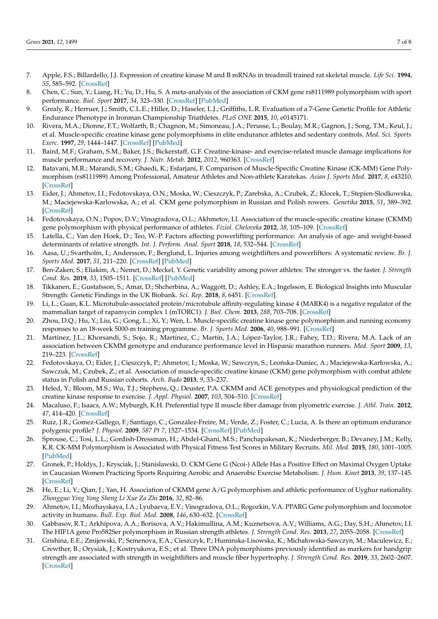- <span id="page-7-0"></span>7. Apple, F.S.; Billardello, J.J. Expression of creatine kinase M and B mRNAs in treadmill trained rat skeletal muscle. *Life Sci.* **1994**, *55*, 585–592. [\[CrossRef\]](http://doi.org/10.1016/0024-3205(94)00484-6)
- <span id="page-7-1"></span>8. Chen, C.; Sun, Y.; Liang, H.; Yu, D.; Hu, S. A meta-analysis of the association of CKM gene rs8111989 polymorphism with sport performance. *Biol. Sport* **2017**, *34*, 323–330. [\[CrossRef\]](http://doi.org/10.5114/biolsport.2017.69819) [\[PubMed\]](http://www.ncbi.nlm.nih.gov/pubmed/29472734)
- <span id="page-7-2"></span>9. Grealy, R.; Herruer, J.; Smith, C.L.E.; Hiller, D.; Haseler, L.J.; Griffiths, L.R. Evaluation of a 7-Gene Genetic Profile for Athletic Endurance Phenotype in Ironman Championship Triathletes. *PLoS ONE* **2015**, *10*, e0145171.
- <span id="page-7-3"></span>10. Rivera, M.A.; Dionne, F.T.; Wolfarth, B.; Chagnon, M.; Simoneau, J.A.; Perusse, L.; Boulay, M.R.; Gagnon, J.; Song, T.M.; Keul, J.; et al. Muscle-specific creatine kinase gene polymorphisms in elite endurance athletes and sedentary controls. *Med. Sci. Sports Exerc.* **1997**, *29*, 1444–1447. [\[CrossRef\]](http://doi.org/10.1097/00005768-199711000-00009) [\[PubMed\]](http://www.ncbi.nlm.nih.gov/pubmed/9372480)
- <span id="page-7-4"></span>11. Baird, M.F.; Graham, S.M.; Baker, J.S.; Bickerstaff, G.F. Creatine-kinase- and exercise-related muscle damage implications for muscle performance and recovery. *J. Nutr. Metab.* **2012**, *2012*, 960363. [\[CrossRef\]](http://doi.org/10.1155/2012/960363)
- <span id="page-7-7"></span>12. Batavani, M.R.; Marandi, S.M.; Ghaedi, K.; Esfarjani, F. Comparison of Muscle-Specific Creatine Kinase (CK-MM) Gene Polymorphism (rs8111989) Among Professional, Amateur Athletes and Non-athlete Karatekas. *Asian J. Sports Med.* **2017**, *8*, e43210. [\[CrossRef\]](http://doi.org/10.5812/asjsm.43210)
- <span id="page-7-16"></span>13. Eider, J.; Ahmetov, I.I.; Fedotovskaya, O.N.; Moska, W.; Cieszczyk, P.; Zarebska, A.; Czubek, Z.; Klocek, T.; Stepien-Slodkowska, M.; Maciejewska-Karlowska, A.; et al. CKM gene polymorphism in Russian and Polish rowers. *Genetika* **2015**, *51*, 389–392. [\[CrossRef\]](http://doi.org/10.1134/S1022795415030023)
- <span id="page-7-13"></span>14. Fedotovskaya, O.N.; Popov, D.V.; Vinogradova, O.L.; Akhmetov, I.I. Association of the muscle-specific creatine kinase (CKMM) gene polymorphism with physical performance of athletes. *Fiziol. Cheloveka* **2012**, *38*, 105–109. [\[CrossRef\]](http://doi.org/10.1134/S0362119712010082)
- <span id="page-7-5"></span>15. Latella, C.; Van den Hoek, D.; Teo, W.-P. Factors affecting powerlifting performance: An analysis of age- and weight-based determinants of relative strength. *Int. J. Perform. Anal. Sport* **2018**, *18*, 532–544. [\[CrossRef\]](http://doi.org/10.1080/24748668.2018.1496393)
- <span id="page-7-8"></span>16. Aasa, U.; Svartholm, I.; Andersson, F.; Berglund, L. Injuries among weightlifters and powerlifters: A systematic review. *Br. J. Sports Med.* **2017**, *51*, 211–220. [\[CrossRef\]](http://doi.org/10.1136/bjsports-2016-096037) [\[PubMed\]](http://www.ncbi.nlm.nih.gov/pubmed/27707741)
- <span id="page-7-6"></span>17. Ben-Zaken, S.; Eliakim, A.; Nemet, D.; Meckel, Y. Genetic variability among power athletes: The stronger vs. the faster. *J. Strength Cond. Res.* **2019**, *33*, 1505–1511. [\[CrossRef\]](http://doi.org/10.1519/JSC.0000000000001356) [\[PubMed\]](http://www.ncbi.nlm.nih.gov/pubmed/26840443)
- <span id="page-7-9"></span>18. Tikkanen, E.; Gustafsson, S.; Amar, D.; Shcherbina, A.; Waggott, D.; Ashley, E.A.; Ingelsson, E. Biological Insights into Muscular Strength: Genetic Findings in the UK Biobank. *Sci. Rep.* **2018**, *8*, 6451. [\[CrossRef\]](http://doi.org/10.1038/s41598-018-24735-y)
- <span id="page-7-10"></span>19. Li, L.; Guan, K.L. Microtubule-associated protein/microtubule affinity-regulating kinase 4 (MARK4) is a negative regulator of the mammalian target of rapamycin complex 1 (mTORC1). *J. Biol. Chem.* **2013**, *288*, 703–708. [\[CrossRef\]](http://doi.org/10.1074/jbc.C112.396903)
- <span id="page-7-11"></span>20. Zhou, D.Q.; Hu, Y.; Liu, G.; Gong, L.; Xi, Y.; Wen, L. Muscle-specific creatine kinase gene polymorphism and running economy responses to an 18-week 5000-m training programme. *Br. J. Sports Med.* **2006**, *40*, 988–991. [\[CrossRef\]](http://doi.org/10.1136/bjsm.2006.029744)
- <span id="page-7-12"></span>21. Martinez, J.L.; Khorsandi, S.; Sojo, R.; Martínez, C.; Martín, J.A.; López-Taylor, J.R.; Fahey, T.D.; Rivera, M.A. Lack of an association between CKMM genotype and endurance performance level in Hispanic marathon runners. *Med. Sport* **2009**, *13*, 219–223. [\[CrossRef\]](http://doi.org/10.2478/v10036-009-0034-1)
- <span id="page-7-14"></span>22. Fedotovskaya, O.; Eider, J.; Cięszczyk, P.; Ahmetov, I.; Moska, W.; Sawczyn, S.; Leońska-Duniec, A.; Maciejewska-Karłowska, A.; Sawczuk, M.; Czubek, Z.; et al. Association of muscle-specific creatine kinase (CKM) gene polymorphism with combat athlete status in Polish and Russian cohorts. *Arch. Budo* **2013**, *9*, 33–237.
- <span id="page-7-15"></span>23. Heled, Y.; Bloom, M.S.; Wu, T.J.; Stephens, Q.; Deuster, P.A. CKMM and ACE genotypes and physiological prediction of the creatine kinase response to exercise. *J. Appl. Physiol.* **2007**, *103*, 504–510. [\[CrossRef\]](http://doi.org/10.1152/japplphysiol.00081.2007)
- <span id="page-7-17"></span>24. Macaluso, F.; Isaacs, A.W.; Myburgh, K.H. Preferential type II muscle fiber damage from plyometric exercise. *J. Athl. Train.* **2012**, *47*, 414–420. [\[CrossRef\]](http://doi.org/10.4085/1062-6050-47.4.13)
- <span id="page-7-18"></span>25. Ruiz, J.R.; Gomez-Gallego, F.; Santiago, C.; González-Freire, M.; Verde, Z.; Foster, C.; Lucia, A. Is there an optimum endurance polygenic profile? *J. Physiol.* **2009**, *587 Pt 7*, 1527–1534. [\[CrossRef\]](http://doi.org/10.1113/jphysiol.2008.166645) [\[PubMed\]](http://www.ncbi.nlm.nih.gov/pubmed/19237423)
- 26. Sprouse, C.; Tosi, L.L.; Gordish-Dressman, H.; Abdel-Ghani, M.S.; Panchapakesan, K.; Niederberger, B.; Devaney, J.M.; Kelly, K.R. CK-MM Polymorphism is Associated with Physical Fitness Test Scores in Military Recruits. *Mil. Med.* **2015**, *180*, 1001–1005. [\[PubMed\]](http://www.ncbi.nlm.nih.gov/pubmed/26327553)
- <span id="page-7-20"></span>27. Gronek, P.; Holdys, J.; Krysciak, J.; Stanislawski, D. CKM Gene G (Ncoi-) Allele Has a Positive Effect on Maximal Oxygen Uptake in Caucasian Women Practicing Sports Requiring Aerobic and Anaerobic Exercise Metabolism. *J. Hum. Kinet* **2013**, *39*, 137–145. [\[CrossRef\]](http://doi.org/10.2478/hukin-2013-0076)
- <span id="page-7-19"></span>28. He, E.; Li, Y.; Qian, J.; Yan, H. Association of CKMM gene A/G polymorphism and athletic performance of Uyghur nationality. *Zhongguo Ying Yong Sheng Li Xue Za Zhi* **2016**, *32*, 82–86.
- <span id="page-7-21"></span>29. Ahmetov, I.I.; Mozhayskaya, I.A.; Lyubaeva, E.V.; Vinogradova, O.L.; Rogozkin, V.A. PPARG Gene polymorphism and locomotor activity in humans. *Bull. Exp. Biol. Med.* **2008**, *146*, 630–632. [\[CrossRef\]](http://doi.org/10.1007/s10517-009-0364-y)
- 30. Gabbasov, R.T.; Arkhipova, A.A.; Borisova, A.V.; Hakimullina, A.M.; Kuznetsova, A.V.; Williams, A.G.; Day, S.H.; Ahmetov, I.I. The HIF1A gene Pro582Ser polymorphism in Russian strength athletes. *J. Strength Cond. Res.* **2013**, *27*, 2055–2058. [\[CrossRef\]](http://doi.org/10.1519/JSC.0b013e31827f06ae)
- <span id="page-7-22"></span>31. Grishina, E.E.; Zmijewski, P.; Semenova, E.A.; Cieszczyk, P.; Huminska-Lisowska, K.; Michałowska-Sawczyn, M.; Maculewicz, E.; Crewther, B.; Orysiak, J.; Kostryukova, E.S.; et al. Three DNA polymorphisms previously identified as markers for handgrip strength are associated with strength in weightlifters and muscle fiber hypertrophy. *J. Strength Cond. Res.* **2019**, *33*, 2602–2607. [\[CrossRef\]](http://doi.org/10.1519/JSC.0000000000003304)